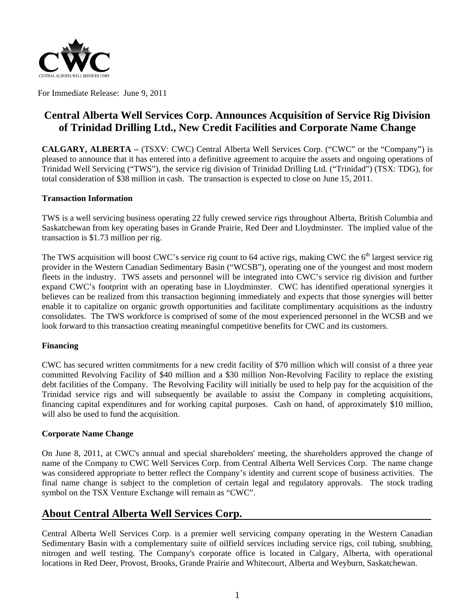

For Immediate Release: June 9, 2011

# **Central Alberta Well Services Corp. Announces Acquisition of Service Rig Division** of Trinidad Drilling Ltd., New Credit Facilities and Corporate Name Change

CALGARY, ALBERTA – (TSXV: CWC) Central Alberta Well Services Corp. ("CWC" or the "Company") is pleased to announce that it has entered into a definitive agreement to acquire the assets and ongoing operations of Trinidad Well Servicing ("TWS"), the service rig division of Trinidad Drilling Ltd. ("Trinidad") (TSX: TDG), for total consideration of \$38 million in cash. The transaction is expected to close on June 15, 2011.

#### **Transaction Information**

TWS is a well servicing business operating 22 fully crewed service rigs throughout Alberta, British Columbia and Saskatchewan from key operating bases in Grande Prairie, Red Deer and Lloydminster. The implied value of the transaction is \$1.73 million per rig.

The TWS acquisition will boost CWC's service rig count to 64 active rigs, making CWC the 6<sup>th</sup> largest service rig provider in the Western Canadian Sedimentary Basin ("WCSB"), operating one of the youngest and most modern fleets in the industry. TWS assets and personnel will be integrated into CWC's service rig division and further expand CWC's footprint with an operating base in Lloydminster. CWC has identified operational synergies it believes can be realized from this transaction beginning immediately and expects that those synergies will better enable it to capitalize on organic growth opportunities and facilitate complimentary acquisitions as the industry consolidates. The TWS workforce is comprised of some of the most experienced personnel in the WCSB and we look forward to this transaction creating meaningful competitive benefits for CWC and its customers.

#### **Financing**

CWC has secured written commitments for a new credit facility of \$70 million which will consist of a three year committed Revolving Facility of \$40 million and a \$30 million Non-Revolving Facility to replace the existing debt facilities of the Company. The Revolving Facility will initially be used to help pay for the acquisition of the Trinidad service rigs and will subsequently be available to assist the Company in completing acquisitions, financing capital expenditures and for working capital purposes. Cash on hand, of approximately \$10 million, will also be used to fund the acquisition.

#### **Corporate Name Change**

On June 8, 2011, at CWC's annual and special shareholders' meeting, the shareholders approved the change of name of the Company to CWC Well Services Corp. from Central Alberta Well Services Corp. The name change was considered appropriate to better reflect the Company's identity and current scope of business activities. The final name change is subject to the completion of certain legal and regulatory approvals. The stock trading symbol on the TSX Venture Exchange will remain as "CWC".

## **About Central Alberta Well Services Corp.**

Central Alberta Well Services Corp. is a premier well servicing company operating in the Western Canadian Sedimentary Basin with a complementary suite of oilfield services including service rigs, coil tubing, snubbing, nitrogen and well testing. The Company's corporate office is located in Calgary, Alberta, with operational locations in Red Deer, Provost, Brooks, Grande Prairie and Whitecourt, Alberta and Weyburn, Saskatchewan.